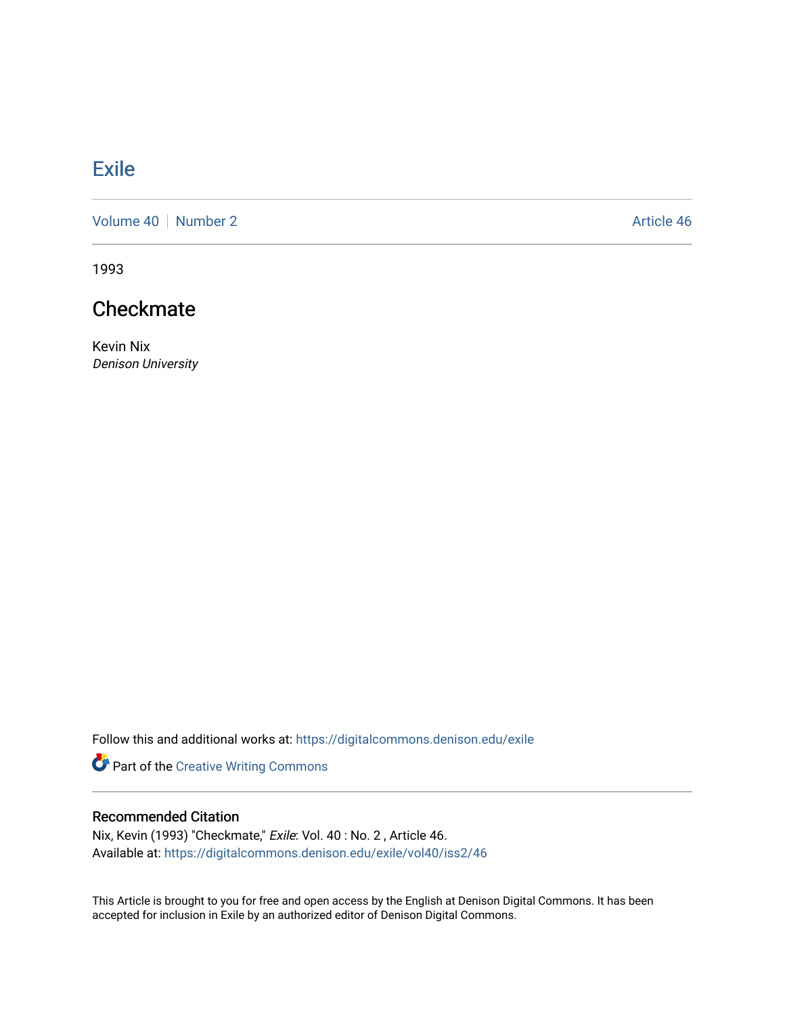## **[Exile](https://digitalcommons.denison.edu/exile)**

[Volume 40](https://digitalcommons.denison.edu/exile/vol40) | [Number 2](https://digitalcommons.denison.edu/exile/vol40/iss2) Article 46

1993

## **Checkmate**

Kevin Nix Denison University

Follow this and additional works at: [https://digitalcommons.denison.edu/exile](https://digitalcommons.denison.edu/exile?utm_source=digitalcommons.denison.edu%2Fexile%2Fvol40%2Fiss2%2F46&utm_medium=PDF&utm_campaign=PDFCoverPages) 

Part of the [Creative Writing Commons](http://network.bepress.com/hgg/discipline/574?utm_source=digitalcommons.denison.edu%2Fexile%2Fvol40%2Fiss2%2F46&utm_medium=PDF&utm_campaign=PDFCoverPages) 

## Recommended Citation

Nix, Kevin (1993) "Checkmate," Exile: Vol. 40 : No. 2 , Article 46. Available at: [https://digitalcommons.denison.edu/exile/vol40/iss2/46](https://digitalcommons.denison.edu/exile/vol40/iss2/46?utm_source=digitalcommons.denison.edu%2Fexile%2Fvol40%2Fiss2%2F46&utm_medium=PDF&utm_campaign=PDFCoverPages)

This Article is brought to you for free and open access by the English at Denison Digital Commons. It has been accepted for inclusion in Exile by an authorized editor of Denison Digital Commons.